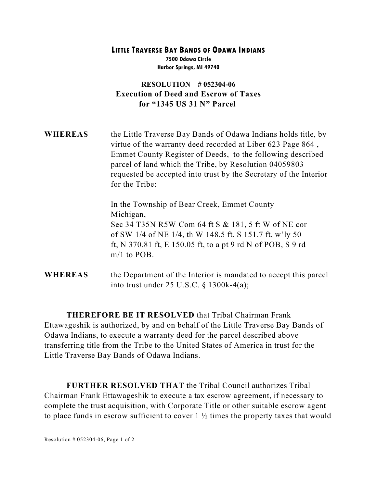## **LITTLE TRAVERSE BAY BANDS OF ODAWA INDIANS 7500 Odawa Circle Harbor Springs, MI 49740**

## **RESOLUTION # 052304-06 Execution of Deed and Escrow of Taxes for "1345 US 31 N" Parcel**

**WHEREAS** the Little Traverse Bay Bands of Odawa Indians holds title, by virtue of the warranty deed recorded at Liber 623 Page 864 , Emmet County Register of Deeds, to the following described parcel of land which the Tribe, by Resolution 04059803 requested be accepted into trust by the Secretary of the Interior for the Tribe:

> In the Township of Bear Creek, Emmet County Michigan, Sec 34 T35N R5W Com 64 ft S & 181, 5 ft W of NE cor of SW 1/4 of NE 1/4, th W 148.5 ft, S 151.7 ft, w'ly 50 ft, N 370.81 ft, E 150.05 ft, to a pt 9 rd N of POB, S 9 rd m/1 to POB.

**WHEREAS** the Department of the Interior is mandated to accept this parcel into trust under 25 U.S.C. § 1300k-4(a);

**THEREFORE BE IT RESOLVED** that Tribal Chairman Frank Ettawageshik is authorized, by and on behalf of the Little Traverse Bay Bands of Odawa Indians, to execute a warranty deed for the parcel described above transferring title from the Tribe to the United States of America in trust for the Little Traverse Bay Bands of Odawa Indians.

**FURTHER RESOLVED THAT** the Tribal Council authorizes Tribal Chairman Frank Ettawageshik to execute a tax escrow agreement, if necessary to complete the trust acquisition, with Corporate Title or other suitable escrow agent to place funds in escrow sufficient to cover  $1\frac{1}{2}$  times the property taxes that would